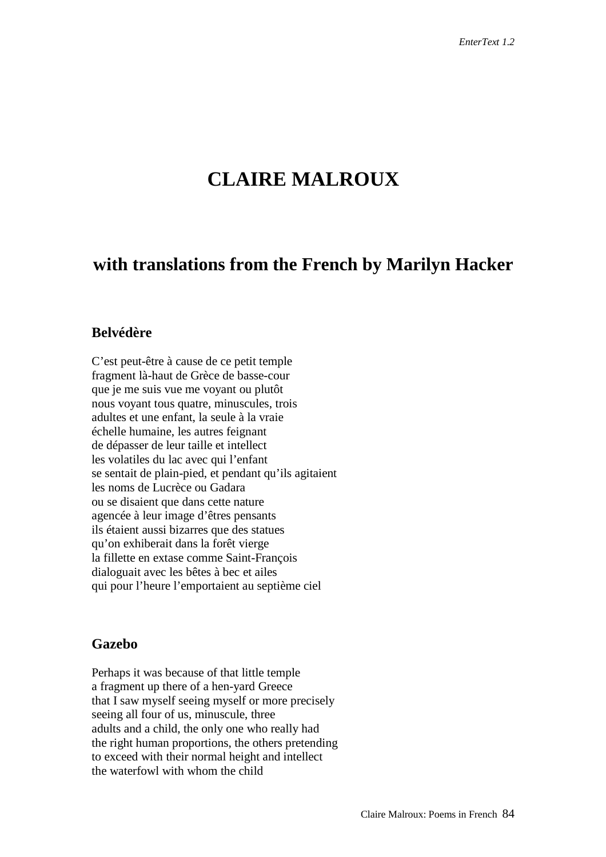# **CLAIRE MALROUX**

# **with translations from the French by Marilyn Hacker**

## **Belvédère**

C'est peut-être à cause de ce petit temple fragment là-haut de Grèce de basse-cour que je me suis vue me voyant ou plutôt nous voyant tous quatre, minuscules, trois adultes et une enfant, la seule à la vraie échelle humaine, les autres feignant de dépasser de leur taille et intellect les volatiles du lac avec qui l'enfant se sentait de plain-pied, et pendant qu'ils agitaient les noms de Lucrèce ou Gadara ou se disaient que dans cette nature agencée à leur image d'êtres pensants ils étaient aussi bizarres que des statues qu'on exhiberait dans la forêt vierge la fillette en extase comme Saint-François dialoguait avec les bêtes à bec et ailes qui pour l'heure l'emportaient au septième ciel

### **Gazebo**

Perhaps it was because of that little temple a fragment up there of a hen-yard Greece that I saw myself seeing myself or more precisely seeing all four of us, minuscule, three adults and a child, the only one who really had the right human proportions, the others pretending to exceed with their normal height and intellect the waterfowl with whom the child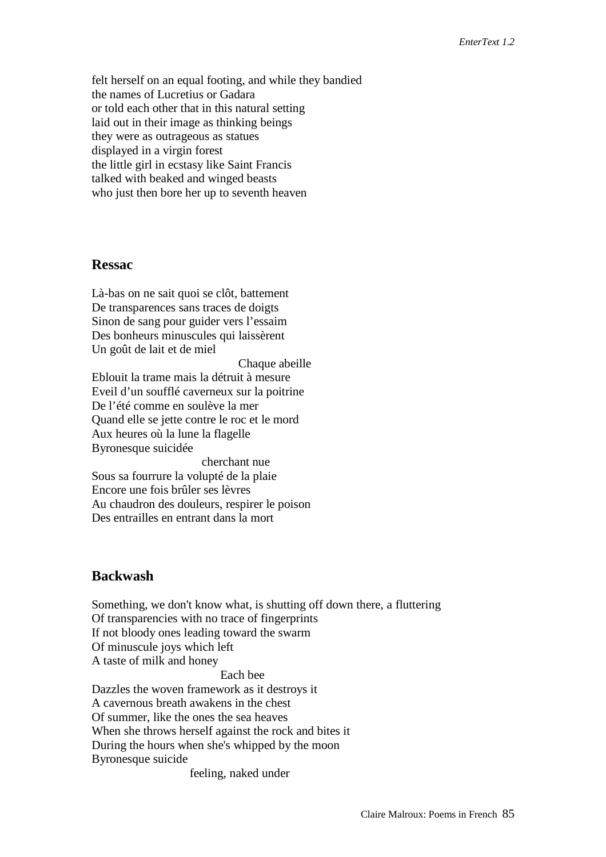felt herself on an equal footing, and while they bandied the names of Lucretius or Gadara or told each other that in this natural setting laid out in their image as thinking beings they were as outrageous as statues displayed in a virgin forest the little girl in ecstasy like Saint Francis talked with beaked and winged beasts who just then bore her up to seventh heaven

#### **Ressac**

Là-bas on ne sait quoi se clôt, battement De transparences sans traces de doigts Sinon de sang pour guider vers l'essaim Des bonheurs minuscules qui laissèrent Un goût de lait et de miel

Chaque abeille Eblouit la trame mais la détruit à mesure Eveil d'un soufflé caverneux sur la poitrine De l'été comme en soulève la mer Quand elle se jette contre le roc et le mord Aux heures où la lune la flagelle Byronesque suicidée

cherchant nue Sous sa fourrure la volupté de la plaie Encore une fois brûler ses lèvres Au chaudron des douleurs, respirer le poison Des entrailles en entrant dans la mort

#### **Backwash**

Something, we don't know what, is shutting off down there, a fluttering Of transparencies with no trace of fingerprints If not bloody ones leading toward the swarm Of minuscule joys which left A taste of milk and honey Each bee Dazzles the woven framework as it destroys it A cavernous breath awakens in the chest Of summer, like the ones the sea heaves When she throws herself against the rock and bites it During the hours when she's whipped by the moon Byronesque suicide feeling, naked under